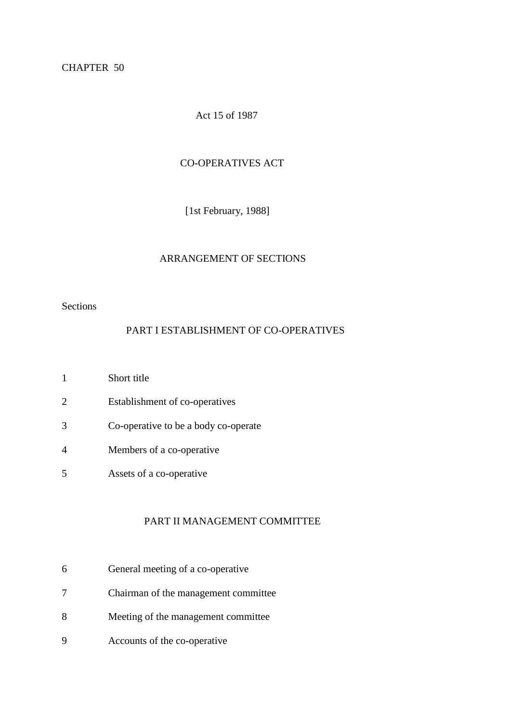CHAPTER 50

Act 15 of 1987

### CO-OPERATIVES ACT

[1st February, 1988]

# ARRANGEMENT OF SECTIONS

Sections

# PART I ESTABLISHMENT OF CO-OPERATIVES

- 1 Short title
- 2 Establishment of co-operatives
- 3 Co-operative to be a body co-operate
- 4 Members of a co-operative
- 5 Assets of a co-operative

#### PART II MANAGEMENT COMMITTEE

- 6 General meeting of a co-operative
- 7 Chairman of the management committee
- 8 Meeting of the management committee
- 9 Accounts of the co-operative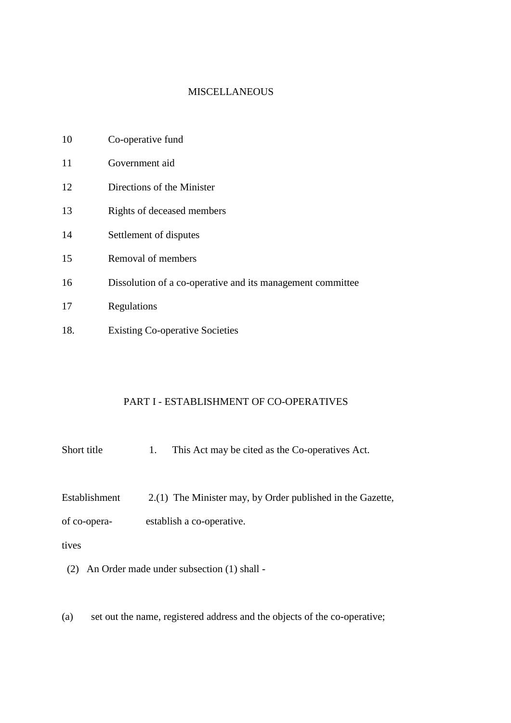#### **MISCELLANEOUS**

| 10 | Co-operative fund |  |  |
|----|-------------------|--|--|
|    |                   |  |  |

- 11 Government aid
- 12 Directions of the Minister
- 13 Rights of deceased members
- 14 Settlement of disputes
- 15 Removal of members
- 16 Dissolution of a co-operative and its management committee
- 17 Regulations
- 18. Existing Co-operative Societies

## PART I - ESTABLISHMENT OF CO-OPERATIVES

- Short title 1. This Act may be cited as the Co-operatives Act.
- Establishment 2.(1) The Minister may, by Order published in the Gazette,

of co-opera- establish a co-operative.

## tives

- (2) An Order made under subsection (1) shall -
- (a) set out the name, registered address and the objects of the co-operative;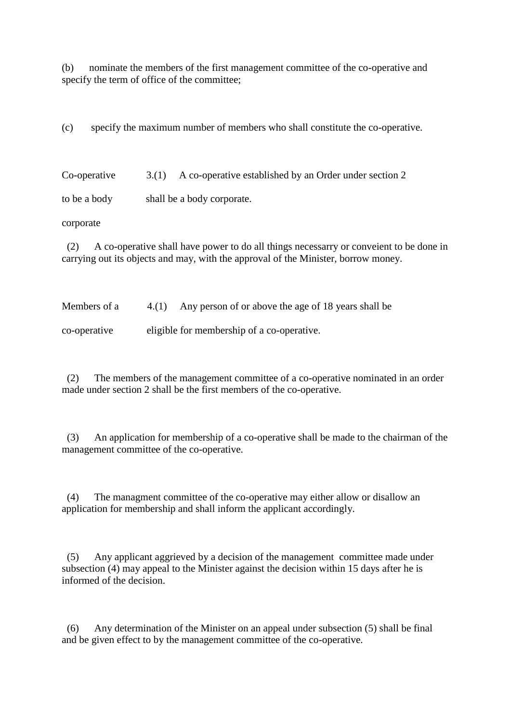(b) nominate the members of the first management committee of the co-operative and specify the term of office of the committee;

(c) specify the maximum number of members who shall constitute the co-operative.

Co-operative 3.(1) A co-operative established by an Order under section 2

to be a body shall be a body corporate.

corporate

(2) A co-operative shall have power to do all things necessarry or conveient to be done in carrying out its objects and may, with the approval of the Minister, borrow money.

Members of a  $4.(1)$  Any person of or above the age of 18 years shall be

co-operative eligible for membership of a co-operative.

(2) The members of the management committee of a co-operative nominated in an order made under section 2 shall be the first members of the co-operative.

(3) An application for membership of a co-operative shall be made to the chairman of the management committee of the co-operative.

(4) The managment committee of the co-operative may either allow or disallow an application for membership and shall inform the applicant accordingly.

(5) Any applicant aggrieved by a decision of the management committee made under subsection (4) may appeal to the Minister against the decision within 15 days after he is informed of the decision.

(6) Any determination of the Minister on an appeal under subsection (5) shall be final and be given effect to by the management committee of the co-operative.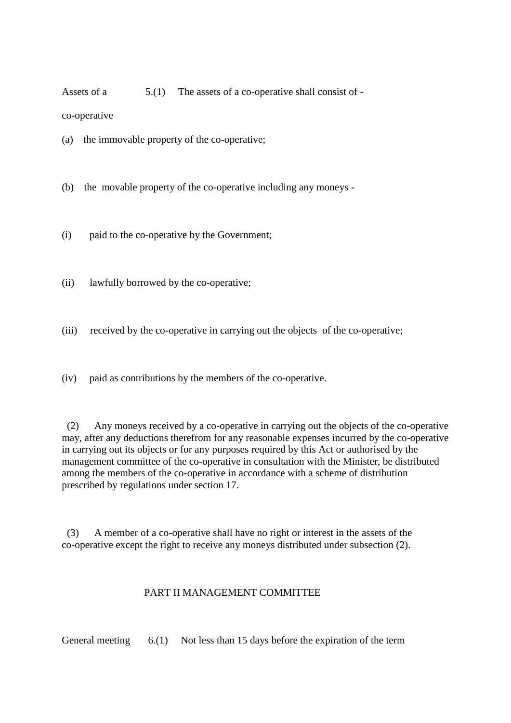Assets of a  $5(1)$  The assets of a co-operative shall consist of -

co-operative

(a) the immovable property of the co-operative;

(b) the movable property of the co-operative including any moneys -

(i) paid to the co-operative by the Government;

(ii) lawfully borrowed by the co-operative;

(iii) received by the co-operative in carrying out the objects of the co-operative;

(iv) paid as contributions by the members of the co-operative.

(2) Any moneys received by a co-operative in carrying out the objects of the co-operative may, after any deductions therefrom for any reasonable expenses incurred by the co-operative in carrying out its objects or for any purposes required by this Act or authorised by the management committee of the co-operative in consultation with the Minister, be distributed among the members of the co-operative in accordance with a scheme of distribution prescribed by regulations under section 17.

(3) A member of a co-operative shall have no right or interest in the assets of the co-operative except the right to receive any moneys distributed under subsection (2).

# PART II MANAGEMENT COMMITTEE

General meeting 6.(1) Not less than 15 days before the expiration of the term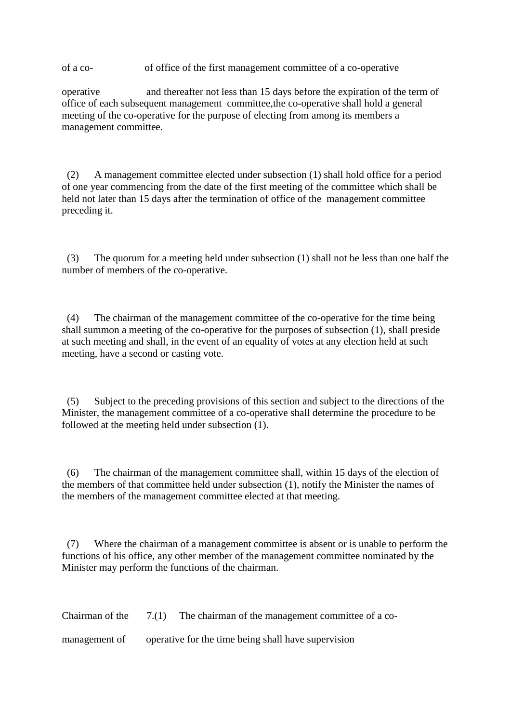of a co- of office of the first management committee of a co-operative

operative and thereafter not less than 15 days before the expiration of the term of office of each subsequent management committee,the co-operative shall hold a general meeting of the co-operative for the purpose of electing from among its members a management committee.

(2) A management committee elected under subsection (1) shall hold office for a period of one year commencing from the date of the first meeting of the committee which shall be held not later than 15 days after the termination of office of the management committee preceding it.

(3) The quorum for a meeting held under subsection (1) shall not be less than one half the number of members of the co-operative.

(4) The chairman of the management committee of the co-operative for the time being shall summon a meeting of the co-operative for the purposes of subsection (1), shall preside at such meeting and shall, in the event of an equality of votes at any election held at such meeting, have a second or casting vote.

(5) Subject to the preceding provisions of this section and subject to the directions of the Minister, the management committee of a co-operative shall determine the procedure to be followed at the meeting held under subsection (1).

(6) The chairman of the management committee shall, within 15 days of the election of the members of that committee held under subsection (1), notify the Minister the names of the members of the management committee elected at that meeting.

(7) Where the chairman of a management committee is absent or is unable to perform the functions of his office, any other member of the management committee nominated by the Minister may perform the functions of the chairman.

Chairman of the 7.(1) The chairman of the management committee of a co-

management of operative for the time being shall have supervision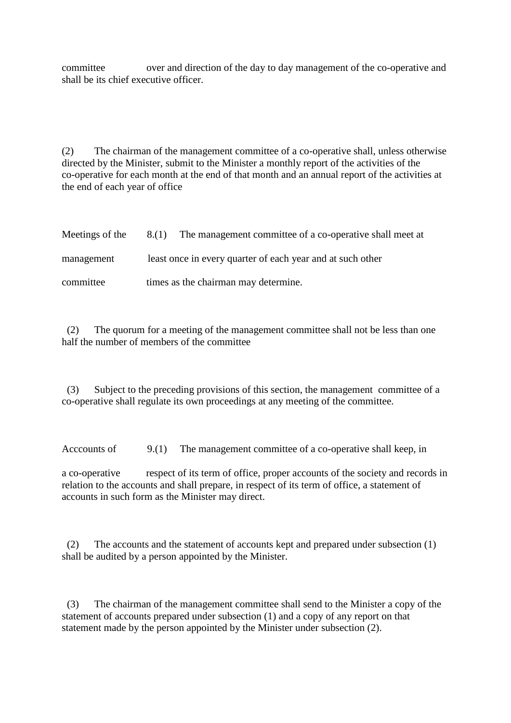committee over and direction of the day to day management of the co-operative and shall be its chief executive officer.

(2) The chairman of the management committee of a co-operative shall, unless otherwise directed by the Minister, submit to the Minister a monthly report of the activities of the co-operative for each month at the end of that month and an annual report of the activities at the end of each year of office

| Meetings of the | 8.(1) The management committee of a co-operative shall meet at |
|-----------------|----------------------------------------------------------------|
| management      | least once in every quarter of each year and at such other     |
| committee       | times as the chairman may determine.                           |

(2) The quorum for a meeting of the management committee shall not be less than one half the number of members of the committee

(3) Subject to the preceding provisions of this section, the management committee of a co-operative shall regulate its own proceedings at any meeting of the committee.

Acccounts of 9.(1) The management committee of a co-operative shall keep, in

a co-operative respect of its term of office, proper accounts of the society and records in relation to the accounts and shall prepare, in respect of its term of office, a statement of accounts in such form as the Minister may direct.

(2) The accounts and the statement of accounts kept and prepared under subsection (1) shall be audited by a person appointed by the Minister.

(3) The chairman of the management committee shall send to the Minister a copy of the statement of accounts prepared under subsection (1) and a copy of any report on that statement made by the person appointed by the Minister under subsection (2).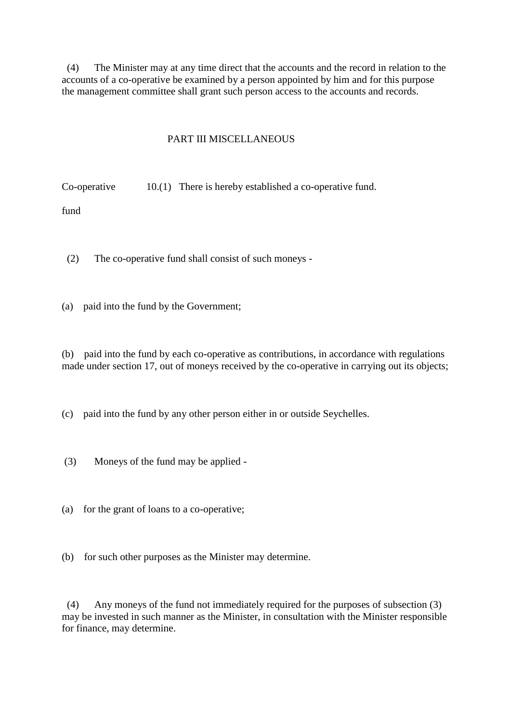(4) The Minister may at any time direct that the accounts and the record in relation to the accounts of a co-operative be examined by a person appointed by him and for this purpose the management committee shall grant such person access to the accounts and records.

## PART III MISCELLANEOUS

Co-operative 10.(1) There is hereby established a co-operative fund.

fund

- (2) The co-operative fund shall consist of such moneys -
- (a) paid into the fund by the Government;

(b) paid into the fund by each co-operative as contributions, in accordance with regulations made under section 17, out of moneys received by the co-operative in carrying out its objects;

(c) paid into the fund by any other person either in or outside Seychelles.

- (3) Moneys of the fund may be applied -
- (a) for the grant of loans to a co-operative;
- (b) for such other purposes as the Minister may determine.

(4) Any moneys of the fund not immediately required for the purposes of subsection (3) may be invested in such manner as the Minister, in consultation with the Minister responsible for finance, may determine.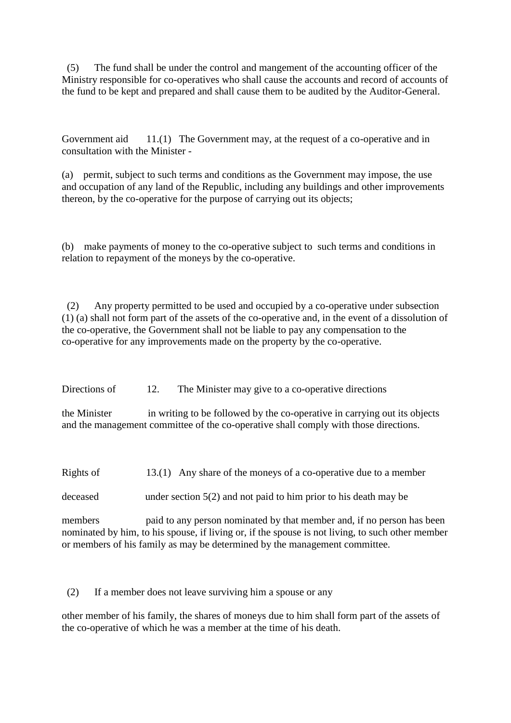(5) The fund shall be under the control and mangement of the accounting officer of the Ministry responsible for co-operatives who shall cause the accounts and record of accounts of the fund to be kept and prepared and shall cause them to be audited by the Auditor-General.

Government aid 11.(1) The Government may, at the request of a co-operative and in consultation with the Minister -

(a) permit, subject to such terms and conditions as the Government may impose, the use and occupation of any land of the Republic, including any buildings and other improvements thereon, by the co-operative for the purpose of carrying out its objects;

(b) make payments of money to the co-operative subject to such terms and conditions in relation to repayment of the moneys by the co-operative.

(2) Any property permitted to be used and occupied by a co-operative under subsection (1) (a) shall not form part of the assets of the co-operative and, in the event of a dissolution of the co-operative, the Government shall not be liable to pay any compensation to the co-operative for any improvements made on the property by the co-operative.

Directions of 12. The Minister may give to a co-operative directions

the Minister in writing to be followed by the co-operative in carrying out its objects and the management committee of the co-operative shall comply with those directions.

Rights of 13.(1) Any share of the moneys of a co-operative due to a member

deceased under section 5(2) and not paid to him prior to his death may be

members paid to any person nominated by that member and, if no person has been nominated by him, to his spouse, if living or, if the spouse is not living, to such other member or members of his family as may be determined by the management committee.

(2) If a member does not leave surviving him a spouse or any

other member of his family, the shares of moneys due to him shall form part of the assets of the co-operative of which he was a member at the time of his death.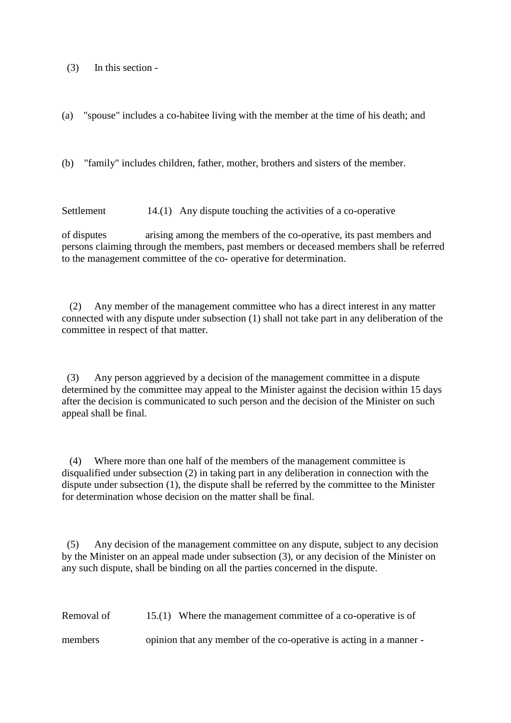(3) In this section -

(a) "spouse" includes a co-habitee living with the member at the time of his death; and

(b) "family" includes children, father, mother, brothers and sisters of the member.

Settlement 14.(1) Any dispute touching the activities of a co-operative

of disputes arising among the members of the co-operative, its past members and persons claiming through the members, past members or deceased members shall be referred to the management committee of the co- operative for determination.

 (2) Any member of the management committee who has a direct interest in any matter connected with any dispute under subsection (1) shall not take part in any deliberation of the committee in respect of that matter.

(3) Any person aggrieved by a decision of the management committee in a dispute determined by the committee may appeal to the Minister against the decision within 15 days after the decision is communicated to such person and the decision of the Minister on such appeal shall be final.

 (4) Where more than one half of the members of the management committee is disqualified under subsection (2) in taking part in any deliberation in connection with the dispute under subsection (1), the dispute shall be referred by the committee to the Minister for determination whose decision on the matter shall be final.

(5) Any decision of the management committee on any dispute, subject to any decision by the Minister on an appeal made under subsection (3), or any decision of the Minister on any such dispute, shall be binding on all the parties concerned in the dispute.

Removal of 15.(1) Where the management committee of a co-operative is of members opinion that any member of the co-operative is acting in a manner -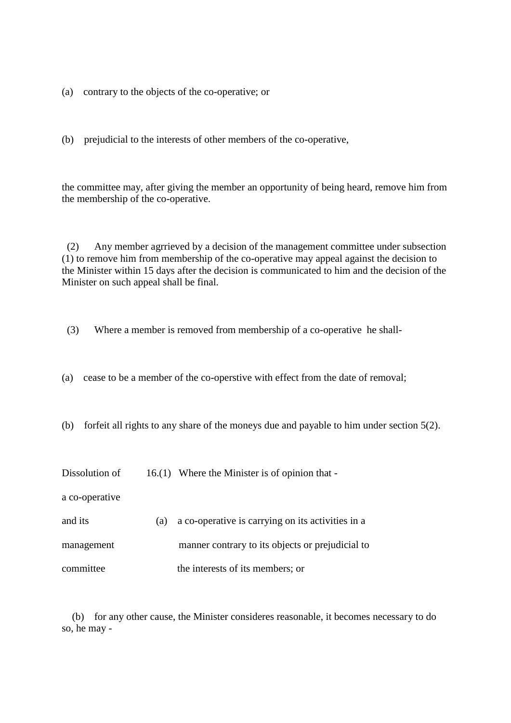(a) contrary to the objects of the co-operative; or

(b) prejudicial to the interests of other members of the co-operative,

the committee may, after giving the member an opportunity of being heard, remove him from the membership of the co-operative.

(2) Any member agrrieved by a decision of the management committee under subsection (1) to remove him from membership of the co-operative may appeal against the decision to the Minister within 15 days after the decision is communicated to him and the decision of the Minister on such appeal shall be final.

(3) Where a member is removed from membership of a co-operative he shall-

(a) cease to be a member of the co-operstive with effect from the date of removal;

(b) forfeit all rights to any share of the moneys due and payable to him under section 5(2).

Dissolution of 16.(1) Where the Minister is of opinion that -

a co-operative

| and its    | (a) | a co-operative is carrying on its activities in a |
|------------|-----|---------------------------------------------------|
| management |     | manner contrary to its objects or prejudicial to  |
| committee  |     | the interests of its members; or                  |

(b) for any other cause, the Minister consideres reasonable, it becomes necessary to do so, he may -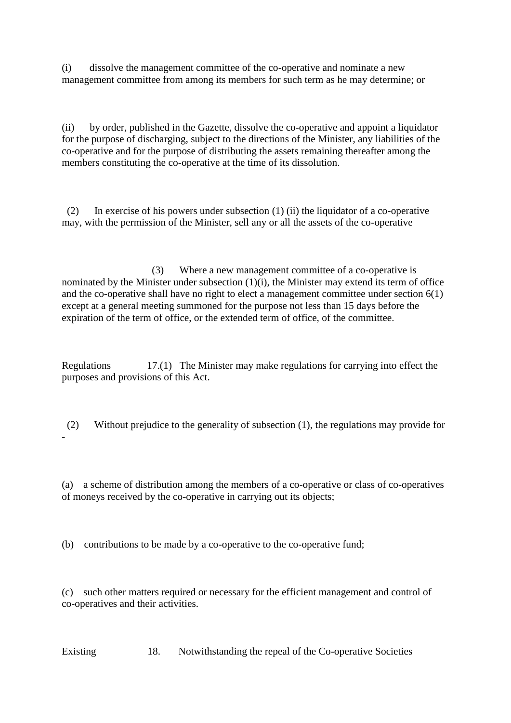(i) dissolve the management committee of the co-operative and nominate a new management committee from among its members for such term as he may determine; or

(ii) by order, published in the Gazette, dissolve the co-operative and appoint a liquidator for the purpose of discharging, subject to the directions of the Minister, any liabilities of the co-operative and for the purpose of distributing the assets remaining thereafter among the members constituting the co-operative at the time of its dissolution.

(2) In exercise of his powers under subsection (1) (ii) the liquidator of a co-operative may, with the permission of the Minister, sell any or all the assets of the co-operative

 (3) Where a new management committee of a co-operative is nominated by the Minister under subsection (1)(i), the Minister may extend its term of office and the co-operative shall have no right to elect a management committee under section 6(1) except at a general meeting summoned for the purpose not less than 15 days before the expiration of the term of office, or the extended term of office, of the committee.

Regulations 17.(1) The Minister may make regulations for carrying into effect the purposes and provisions of this Act.

(2) Without prejudice to the generality of subsection (1), the regulations may provide for

(a) a scheme of distribution among the members of a co-operative or class of co-operatives of moneys received by the co-operative in carrying out its objects;

(b) contributions to be made by a co-operative to the co-operative fund;

-

(c) such other matters required or necessary for the efficient management and control of co-operatives and their activities.

Existing 18. Notwithstanding the repeal of the Co-operative Societies